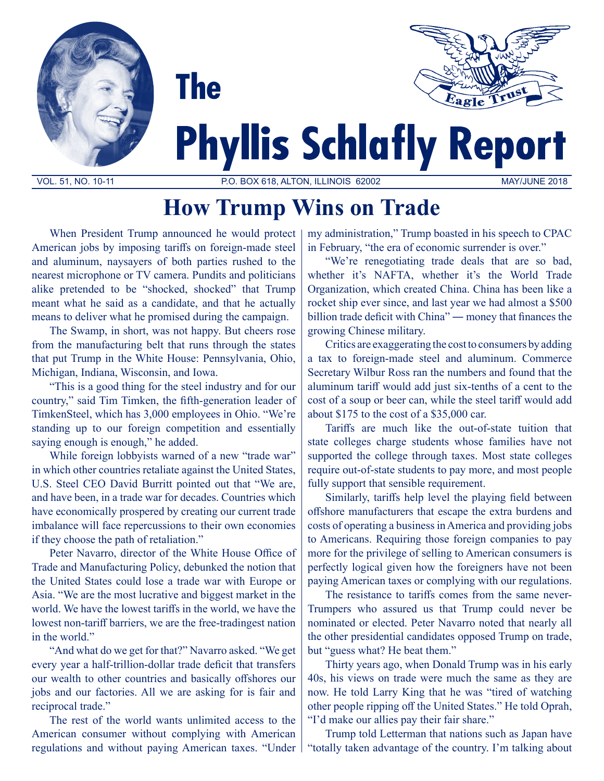



# **Phyllis Schlafly Report**

VOL. 51, NO. 10-11 P.O. BOX 618, ALTON, ILLINOIS 62002 MAY/JUNE 2018

## **How Trump Wins on Trade**

When President Trump announced he would protect American jobs by imposing tariffs on foreign-made steel and aluminum, naysayers of both parties rushed to the nearest microphone or TV camera. Pundits and politicians alike pretended to be "shocked, shocked" that Trump meant what he said as a candidate, and that he actually means to deliver what he promised during the campaign.

**The** 

The Swamp, in short, was not happy. But cheers rose from the manufacturing belt that runs through the states that put Trump in the White House: Pennsylvania, Ohio, Michigan, Indiana, Wisconsin, and Iowa.

"This is a good thing for the steel industry and for our country," said Tim Timken, the fifth-generation leader of TimkenSteel, which has 3,000 employees in Ohio. "We're standing up to our foreign competition and essentially saying enough is enough," he added.

While foreign lobbyists warned of a new "trade war" in which other countries retaliate against the United States, U.S. Steel CEO David Burritt pointed out that "We are, and have been, in a trade war for decades. Countries which have economically prospered by creating our current trade imbalance will face repercussions to their own economies if they choose the path of retaliation."

Peter Navarro, director of the White House Office of Trade and Manufacturing Policy, debunked the notion that the United States could lose a trade war with Europe or Asia. "We are the most lucrative and biggest market in the world. We have the lowest tariffs in the world, we have the lowest non-tariff barriers, we are the free-tradingest nation in the world."

"And what do we get for that?" Navarro asked. "We get every year a half-trillion-dollar trade deficit that transfers our wealth to other countries and basically offshores our jobs and our factories. All we are asking for is fair and reciprocal trade."

The rest of the world wants unlimited access to the American consumer without complying with American regulations and without paying American taxes. "Under my administration," Trump boasted in his speech to CPAC in February, "the era of economic surrender is over."

"We're renegotiating trade deals that are so bad, whether it's NAFTA, whether it's the World Trade Organization, which created China. China has been like a rocket ship ever since, and last year we had almost a \$500 billion trade deficit with China" ― money that finances the growing Chinese military.

Critics are exaggerating the cost to consumers by adding a tax to foreign-made steel and aluminum. Commerce Secretary Wilbur Ross ran the numbers and found that the aluminum tariff would add just six-tenths of a cent to the cost of a soup or beer can, while the steel tariff would add about \$175 to the cost of a \$35,000 car.

Tariffs are much like the out-of-state tuition that state colleges charge students whose families have not supported the college through taxes. Most state colleges require out-of-state students to pay more, and most people fully support that sensible requirement.

Similarly, tariffs help level the playing field between offshore manufacturers that escape the extra burdens and costs of operating a business in America and providing jobs to Americans. Requiring those foreign companies to pay more for the privilege of selling to American consumers is perfectly logical given how the foreigners have not been paying American taxes or complying with our regulations.

The resistance to tariffs comes from the same never-Trumpers who assured us that Trump could never be nominated or elected. Peter Navarro noted that nearly all the other presidential candidates opposed Trump on trade, but "guess what? He beat them."

Thirty years ago, when Donald Trump was in his early 40s, his views on trade were much the same as they are now. He told Larry King that he was "tired of watching other people ripping off the United States." He told Oprah, "I'd make our allies pay their fair share."

Trump told Letterman that nations such as Japan have "totally taken advantage of the country. I'm talking about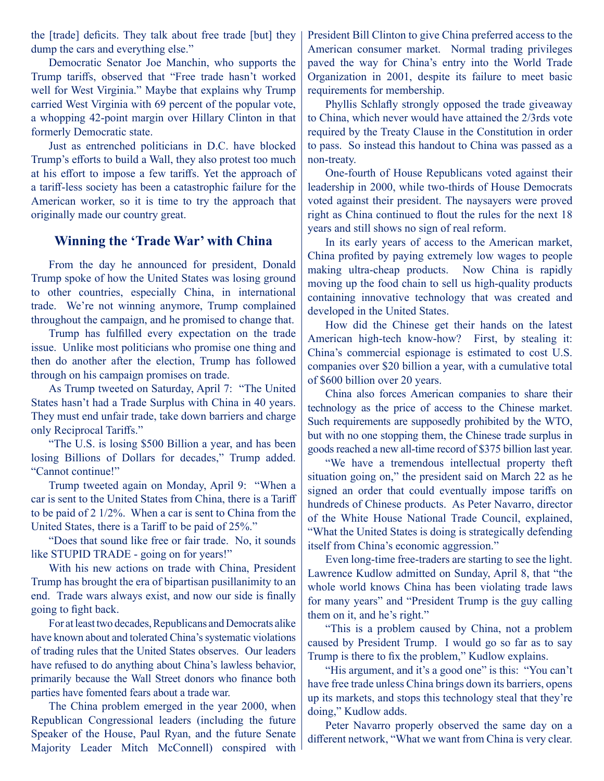the [trade] deficits. They talk about free trade [but] they dump the cars and everything else."

Democratic Senator Joe Manchin, who supports the Trump tariffs, observed that "Free trade hasn't worked well for West Virginia." Maybe that explains why Trump carried West Virginia with 69 percent of the popular vote, a whopping 42-point margin over Hillary Clinton in that formerly Democratic state.

Just as entrenched politicians in D.C. have blocked Trump's efforts to build a Wall, they also protest too much at his effort to impose a few tariffs. Yet the approach of a tariff-less society has been a catastrophic failure for the American worker, so it is time to try the approach that originally made our country great.

#### **Winning the 'Trade War' with China**

From the day he announced for president, Donald Trump spoke of how the United States was losing ground to other countries, especially China, in international trade. We're not winning anymore, Trump complained throughout the campaign, and he promised to change that.

Trump has fulfilled every expectation on the trade issue. Unlike most politicians who promise one thing and then do another after the election, Trump has followed through on his campaign promises on trade.

As Trump tweeted on Saturday, April 7: "The United States hasn't had a Trade Surplus with China in 40 years. They must end unfair trade, take down barriers and charge only Reciprocal Tariffs."

"The U.S. is losing \$500 Billion a year, and has been losing Billions of Dollars for decades," Trump added. "Cannot continue!"

Trump tweeted again on Monday, April 9: "When a car is sent to the United States from China, there is a Tariff to be paid of 2 1/2%. When a car is sent to China from the United States, there is a Tariff to be paid of 25%."

"Does that sound like free or fair trade. No, it sounds like STUPID TRADE - going on for years!"

With his new actions on trade with China, President Trump has brought the era of bipartisan pusillanimity to an end. Trade wars always exist, and now our side is finally going to fight back.

For at least two decades, Republicans and Democrats alike have known about and tolerated China's systematic violations of trading rules that the United States observes. Our leaders have refused to do anything about China's lawless behavior, primarily because the Wall Street donors who finance both parties have fomented fears about a trade war.

The China problem emerged in the year 2000, when Republican Congressional leaders (including the future Speaker of the House, Paul Ryan, and the future Senate Majority Leader Mitch McConnell) conspired with President Bill Clinton to give China preferred access to the American consumer market. Normal trading privileges paved the way for China's entry into the World Trade Organization in 2001, despite its failure to meet basic requirements for membership.

Phyllis Schlafly strongly opposed the trade giveaway to China, which never would have attained the 2/3rds vote required by the Treaty Clause in the Constitution in order to pass. So instead this handout to China was passed as a non-treaty.

One-fourth of House Republicans voted against their leadership in 2000, while two-thirds of House Democrats voted against their president. The naysayers were proved right as China continued to flout the rules for the next 18 years and still shows no sign of real reform.

In its early years of access to the American market, China profited by paying extremely low wages to people making ultra-cheap products. Now China is rapidly moving up the food chain to sell us high-quality products containing innovative technology that was created and developed in the United States.

How did the Chinese get their hands on the latest American high-tech know-how? First, by stealing it: China's commercial espionage is estimated to cost U.S. companies over \$20 billion a year, with a cumulative total of \$600 billion over 20 years.

China also forces American companies to share their technology as the price of access to the Chinese market. Such requirements are supposedly prohibited by the WTO, but with no one stopping them, the Chinese trade surplus in goods reached a new all-time record of \$375 billion last year.

"We have a tremendous intellectual property theft situation going on," the president said on March 22 as he signed an order that could eventually impose tariffs on hundreds of Chinese products. As Peter Navarro, director of the White House National Trade Council, explained, "What the United States is doing is strategically defending itself from China's economic aggression."

Even long-time free-traders are starting to see the light. Lawrence Kudlow admitted on Sunday, April 8, that "the whole world knows China has been violating trade laws for many years" and "President Trump is the guy calling them on it, and he's right."

"This is a problem caused by China, not a problem caused by President Trump. I would go so far as to say Trump is there to fix the problem," Kudlow explains.

"His argument, and it's a good one" is this: "You can't have free trade unless China brings down its barriers, opens up its markets, and stops this technology steal that they're doing," Kudlow adds.

Peter Navarro properly observed the same day on a different network, "What we want from China is very clear.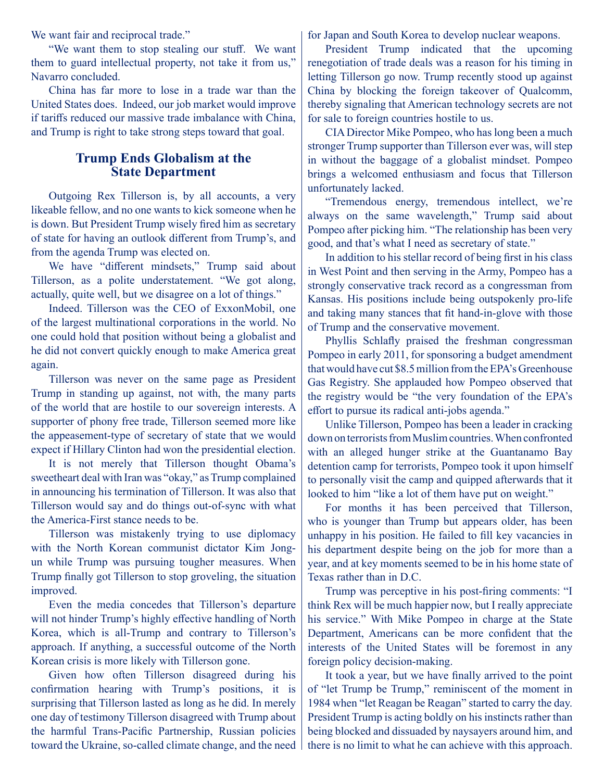We want fair and reciprocal trade."

"We want them to stop stealing our stuff. We want them to guard intellectual property, not take it from us," Navarro concluded.

China has far more to lose in a trade war than the United States does. Indeed, our job market would improve if tariffs reduced our massive trade imbalance with China, and Trump is right to take strong steps toward that goal.

### **Trump Ends Globalism at the State Department**

Outgoing Rex Tillerson is, by all accounts, a very likeable fellow, and no one wants to kick someone when he is down. But President Trump wisely fired him as secretary of state for having an outlook different from Trump's, and from the agenda Trump was elected on.

We have "different mindsets," Trump said about Tillerson, as a polite understatement. "We got along, actually, quite well, but we disagree on a lot of things."

Indeed. Tillerson was the CEO of ExxonMobil, one of the largest multinational corporations in the world. No one could hold that position without being a globalist and he did not convert quickly enough to make America great again.

Tillerson was never on the same page as President Trump in standing up against, not with, the many parts of the world that are hostile to our sovereign interests. A supporter of phony free trade, Tillerson seemed more like the appeasement-type of secretary of state that we would expect if Hillary Clinton had won the presidential election.

It is not merely that Tillerson thought Obama's sweetheart deal with Iran was "okay," as Trump complained in announcing his termination of Tillerson. It was also that Tillerson would say and do things out-of-sync with what the America-First stance needs to be.

Tillerson was mistakenly trying to use diplomacy with the North Korean communist dictator Kim Jongun while Trump was pursuing tougher measures. When Trump finally got Tillerson to stop groveling, the situation improved.

Even the media concedes that Tillerson's departure will not hinder Trump's highly effective handling of North Korea, which is all-Trump and contrary to Tillerson's approach. If anything, a successful outcome of the North Korean crisis is more likely with Tillerson gone.

Given how often Tillerson disagreed during his confirmation hearing with Trump's positions, it is surprising that Tillerson lasted as long as he did. In merely one day of testimony Tillerson disagreed with Trump about the harmful Trans-Pacific Partnership, Russian policies toward the Ukraine, so-called climate change, and the need for Japan and South Korea to develop nuclear weapons.

President Trump indicated that the upcoming renegotiation of trade deals was a reason for his timing in letting Tillerson go now. Trump recently stood up against China by blocking the foreign takeover of Qualcomm, thereby signaling that American technology secrets are not for sale to foreign countries hostile to us.

CIA Director Mike Pompeo, who has long been a much stronger Trump supporter than Tillerson ever was, will step in without the baggage of a globalist mindset. Pompeo brings a welcomed enthusiasm and focus that Tillerson unfortunately lacked.

"Tremendous energy, tremendous intellect, we're always on the same wavelength," Trump said about Pompeo after picking him. "The relationship has been very good, and that's what I need as secretary of state."

In addition to his stellar record of being first in his class in West Point and then serving in the Army, Pompeo has a strongly conservative track record as a congressman from Kansas. His positions include being outspokenly pro-life and taking many stances that fit hand-in-glove with those of Trump and the conservative movement.

Phyllis Schlafly praised the freshman congressman Pompeo in early 2011, for sponsoring a budget amendment that would have cut \$8.5 million from the EPA's Greenhouse Gas Registry. She applauded how Pompeo observed that the registry would be "the very foundation of the EPA's effort to pursue its radical anti-jobs agenda."

Unlike Tillerson, Pompeo has been a leader in cracking down on terrorists from Muslim countries. When confronted with an alleged hunger strike at the Guantanamo Bay detention camp for terrorists, Pompeo took it upon himself to personally visit the camp and quipped afterwards that it looked to him "like a lot of them have put on weight."

For months it has been perceived that Tillerson, who is younger than Trump but appears older, has been unhappy in his position. He failed to fill key vacancies in his department despite being on the job for more than a year, and at key moments seemed to be in his home state of Texas rather than in D.C.

Trump was perceptive in his post-firing comments: "I think Rex will be much happier now, but I really appreciate his service." With Mike Pompeo in charge at the State Department, Americans can be more confident that the interests of the United States will be foremost in any foreign policy decision-making.

It took a year, but we have finally arrived to the point of "let Trump be Trump," reminiscent of the moment in 1984 when "let Reagan be Reagan" started to carry the day. President Trump is acting boldly on his instincts rather than being blocked and dissuaded by naysayers around him, and there is no limit to what he can achieve with this approach.